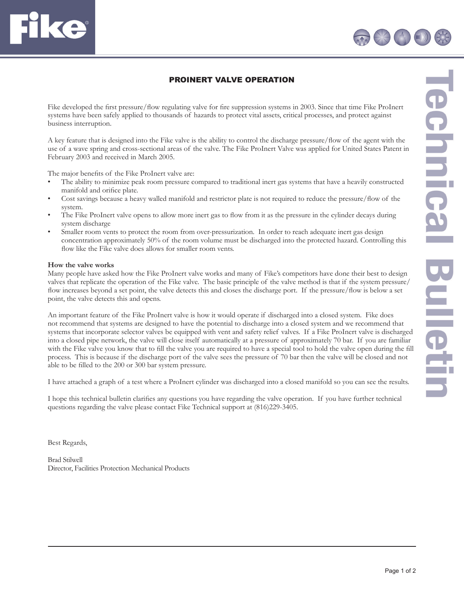## PROINERT VALVE OPERATION

Fike developed the first pressure/flow regulating valve for fire suppression systems in 2003. Since that time Fike ProInert systems have been safely applied to thousands of hazards to protect vital assets, critical processes, and protect against business interruption.

A key feature that is designed into the Fike valve is the ability to control the discharge pressure/flow of the agent with the use of a wave spring and cross-sectional areas of the valve. The Fike ProInert Valve was applied for United States Patent in February 2003 and received in March 2005.

The major benefits of the Fike ProInert valve are:

- The ability to minimize peak room pressure compared to traditional inert gas systems that have a heavily constructed manifold and orifice plate.
- Cost savings because a heavy walled manifold and restrictor plate is not required to reduce the pressure/flow of the system.
- The Fike ProInert valve opens to allow more inert gas to flow from it as the pressure in the cylinder decays during system discharge
- Smaller room vents to protect the room from over-pressurization. In order to reach adequate inert gas design concentration approximately 50% of the room volume must be discharged into the protected hazard. Controlling this flow like the Fike valve does allows for smaller room vents.

## **How the valve works**

**TE** 

Many people have asked how the Fike ProInert valve works and many of Fike's competitors have done their best to design valves that replicate the operation of the Fike valve. The basic principle of the valve method is that if the system pressure/ flow increases beyond a set point, the valve detects this and closes the discharge port. If the pressure/flow is below a set point, the valve detects this and opens.

An important feature of the Fike ProInert valve is how it would operate if discharged into a closed system. Fike does not recommend that systems are designed to have the potential to discharge into a closed system and we recommend that systems that incorporate selector valves be equipped with vent and safety relief valves. If a Fike ProInert valve is discharged into a closed pipe network, the valve will close itself automatically at a pressure of approximately 70 bar. If you are familiar with the Fike valve you know that to fill the valve you are required to have a special tool to hold the valve open during the fill process. This is because if the discharge port of the valve sees the pressure of 70 bar then the valve will be closed and not able to be filled to the 200 or 300 bar system pressure.

I have attached a graph of a test where a ProInert cylinder was discharged into a closed manifold so you can see the results.

I hope this technical bulletin clarifies any questions you have regarding the valve operation. If you have further technical questions regarding the valve please contact Fike Technical support at (816)229-3405.

Best Regards,

Brad Stilwell Director, Facilities Protection Mechanical Products